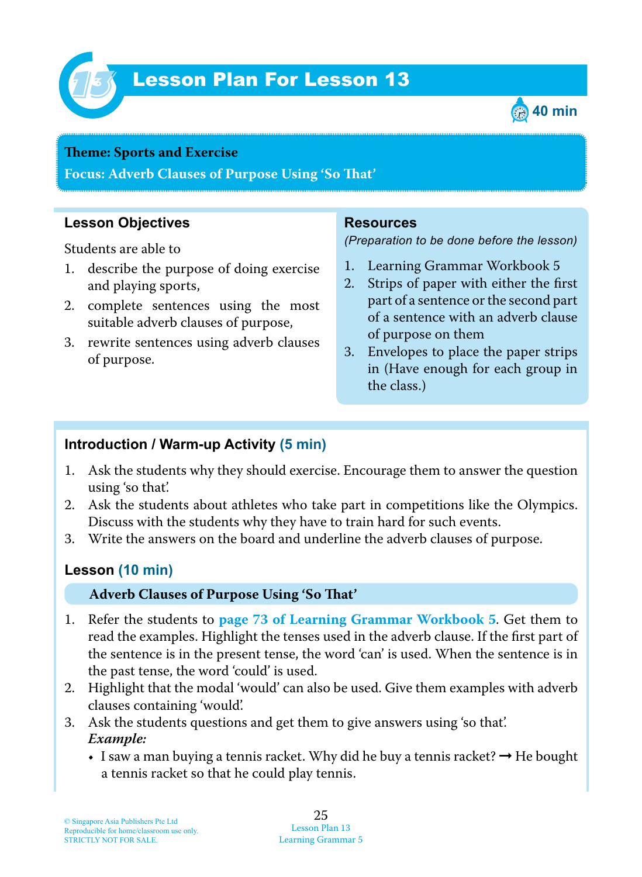

# Lesson Plan For Lesson 13 *13*



#### **Theme: Sports and Exercise**

**Focus: Adverb Clauses of Purpose Using 'So Tat'**

#### **Lesson Objectives**

Students are able to

- 1. describe the purpose of doing exercise and playing sports,
- 2. complete sentences using the most suitable adverb clauses of purpose,
- 3. rewrite sentences using adverb clauses of purpose.

#### **Resources**

*(Preparation to be done before the lesson)*

- 1. Learning Grammar Workbook 5
- 2. Strips of paper with either the first part of a sentence or the second part of a sentence with an adverb clause of purpose on them
- 3. Envelopes to place the paper strips in (Have enough for each group in the class.)

#### **Introduction / Warm-up Activity (5 min)**

- 1 . Ask the students why they should exercise. Encourage them to answer the question using 'so that'.
- 2. Ask the students about athletes who take part in competitions like the Olympics. Discuss with the students why they have to train hard for such events.
- 3. Write the answers on the board and underline the adverb clauses of purpose.

### **Lesson (10 min)**

#### **Adverb Clauses of Purpose Using 'So Tat'**

- 1 . Refer the students to **page 73 of Learning Grammar Workbook 5** . Get them to read the examples. Highlight the tenses used in the adverb clause. If the first part of the sentence is in the present tense, the word 'can' is used. When the sentence is in the past tense, the word 'could' is used.
- 2. Highlight that the modal 'would' can also be used. Give them examples with adverb clauses containing 'would'.
- 3. Ask the students questions and get them to give answers using 'so that'.  *Example:*
	- I saw a man buying a tennis racket. Why did he buy a tennis racket?  $\rightarrow$  He bought a tennis racket so that he could play tennis.